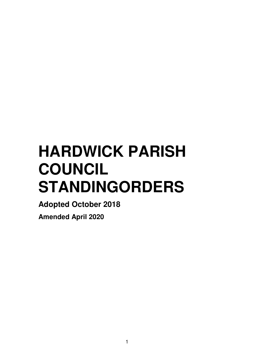# **HARDWICK PARISH COUNCIL STANDINGORDERS**

**Adopted October 2018** 

**Amended April 2020**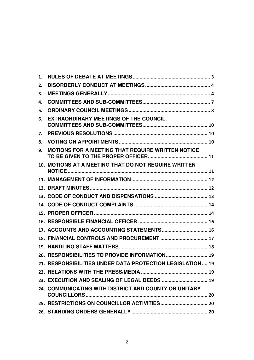| 1. |                                                           |
|----|-----------------------------------------------------------|
| 2. |                                                           |
| 3. |                                                           |
| 4. |                                                           |
| 5. |                                                           |
| 6. | <b>EXTRAORDINARY MEETINGS OF THE COUNCIL,</b>             |
| 7. |                                                           |
| 8. |                                                           |
| 9. | <b>MOTIONS FOR A MEETING THAT REQUIRE WRITTEN NOTICE</b>  |
|    | 10. MOTIONS AT A MEETING THAT DO NOT REQUIRE WRITTEN      |
|    |                                                           |
|    |                                                           |
|    |                                                           |
|    |                                                           |
|    |                                                           |
|    |                                                           |
|    | 17. ACCOUNTS AND ACCOUNTING STATEMENTS 16                 |
|    | 18. FINANCIAL CONTROLS AND PROCUREMENT  17                |
|    |                                                           |
|    | 20. RESPONSIBILITIES TO PROVIDE INFORMATION 19            |
|    | 21. RESPONSIBILITIES UNDER DATA PROTECTION LEGISLATION 19 |
|    |                                                           |
|    |                                                           |
|    | 24. COMMUNICATING WITH DISTRICT AND COUNTY OR UNITARY     |
|    |                                                           |
|    |                                                           |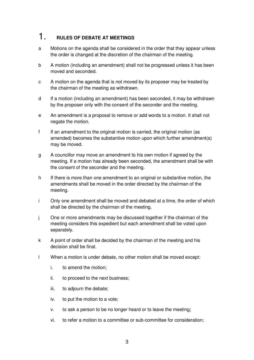#### 1. **RULES OF DEBATE AT MEETINGS**

- a Motions on the agenda shall be considered in the order that they appear unless the order is changed at the discretion of the chairman of the meeting.
- b A motion (including an amendment) shall not be progressed unless it has been moved and seconded.
- c A motion on the agenda that is not moved by its proposer may be treated by the chairman of the meeting as withdrawn.
- d If a motion (including an amendment) has been seconded, it may be withdrawn by the proposer only with the consent of the seconder and the meeting.
- e An amendment is a proposal to remove or add words to a motion. It shall not negate the motion.
- f If an amendment to the original motion is carried, the original motion (as amended) becomes the substantive motion upon which further amendment(s) may be moved.
- g A councillor may move an amendment to his own motion if agreed by the meeting. If a motion has already been seconded, the amendment shall be with the consent of the seconder and the meeting.
- h If there is more than one amendment to an original or substantive motion, the amendments shall be moved in the order directed by the chairman of the meeting.
- i Only one amendment shall be moved and debated at a time, the order of which shall be directed by the chairman of the meeting.
- j One or more amendments may be discussed together if the chairman of the meeting considers this expedient but each amendment shall be voted upon separately.
- k A point of order shall be decided by the chairman of the meeting and his decision shall be final.
- l When a motion is under debate, no other motion shall be moved except:
	- i. to amend the motion;
	- ii. to proceed to the next business;
	- iii. to adjourn the debate;
	- iv. to put the motion to a vote;
	- v. to ask a person to be no longer heard or to leave the meeting;
	- vi. to refer a motion to a committee or sub-committee for consideration;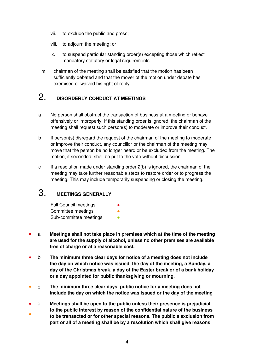- vii. to exclude the public and press;
- viii. to adjourn the meeting; or
- ix. to suspend particular standing order(s) excepting those which reflect mandatory statutory or legal requirements.
- m. chairman of the meeting shall be satisfied that the motion has been sufficiently debated and that the mover of the motion under debate has exercised or waived his right of reply.

#### 2. **DISORDERLY CONDUCT AT MEETINGS**

- a No person shall obstruct the transaction of business at a meeting or behave offensively or improperly. If this standing order is ignored, the chairman of the meeting shall request such person(s) to moderate or improve their conduct.
- b If person(s) disregard the request of the chairman of the meeting to moderate or improve their conduct, any councillor or the chairman of the meeting may move that the person be no longer heard or be excluded from the meeting. The motion, if seconded, shall be put to the vote without discussion.
- c If a resolution made under standing order 2(b) is ignored, the chairman of the meeting may take further reasonable steps to restore order or to progress the meeting. This may include temporarily suspending or closing the meeting.

## 3. **MEETINGS GENERALLY**

Full Council meetings Committee meetings Sub-committee meetings

- a **Meetings shall not take place in premises which at the time of the meeting are used for the supply of alcohol, unless no other premises are available free of charge or at a reasonable cost.**
- b **The minimum three clear days for notice of a meeting does not include the day on which notice was issued, the day of the meeting, a Sunday, a day of the Christmas break, a day of the Easter break or of a bank holiday or a day appointed for public thanksgiving or mourning.**
- c **The minimum three clear days' public notice for a meeting does not include the day on which the notice was issued or the day of the meeting**
- d **Meetings shall be open to the public unless their presence is prejudicial to the public interest by reason of the confidential nature of the business**
- **to be transacted or for other special reasons. The public's exclusion from part or all of a meeting shall be by a resolution which shall give reasons**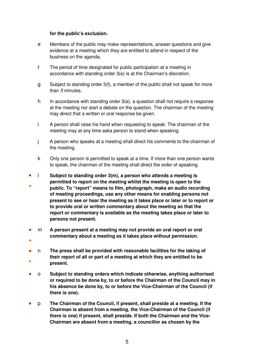#### **for the public's exclusion.**

- e Members of the public may make representations, answer questions and give evidence at a meeting which they are entitled to attend in respect of the business on the agenda.
- f The period of time designated for public participation at a meeting in accordance with standing order 3(e) is at the Chairman's discretion.
- g Subject to standing order 3(f), a member of the public shall not speak for more than 5 minutes.
- h In accordance with standing order  $3(e)$ , a question shall not require a response at the meeting nor start a debate on the question. The chairman of the meeting may direct that a written or oral response be given.
- i A person shall raise his hand when requesting to speak. The chairman of the meeting may at any time aska person to stand when speaking.
- j A person who speaks at a meeting shall direct his comments to the chairman of the meeting.
- k Only one person is permitted to speak at a time. If more than one person wants to speak, the chairman of the meeting shall direct the order of speaking.
- l **Subject to standing order 3(m), a person who attends a meeting is**
- **permitted to report on the meeting whilst the meeting is open to the public. To "report" means to film, photograph, make an audio recording of meeting proceedings, use any other means for enabling persons not present to see or hear the meeting as it takes place or later or to report or to provide oral or written commentary about the meeting so that the report or commentary is available as the meeting takes place or later to persons not present.**
- m **A person present at a meeting may not provide an oral report or oral commentary about a meeting as it takes place without permission.**
- ●
- ● n **The press shall be provided with reasonable facilities for the taking of their report of all or part of a meeting at which they are entitled to be present.**
- o **Subject to standing orders which indicate otherwise, anything authorised or required to be done by, to or before the Chairman of the Council may in his absence be done by, to or before the Vice-Chairman of the Council (if there is one).**
- p **The Chairman of the Council, if present, shall preside at a meeting. If the Chairman is absent from a meeting, the Vice-Chairman of the Council (if there is one) if present, shall preside. If both the Chairman and the Vice-Chairman are absent from a meeting, a councillor as chosen by the**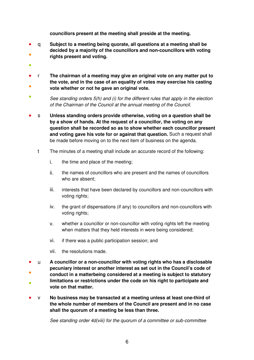**councillors present at the meeting shall preside at the meeting.**

- ● q **Subject to a meeting being quorate, all questions at a meeting shall be decided by a majority of the councillors and non-councillors with voting rights present and voting.**
- ●
- ● r **The chairman of a meeting may give an original vote on any matter put to the vote, and in the case of an equality of votes may exercise his casting vote whether or not he gave an original vote.**
- See standing orders 5(h) and (i) for the different rules that apply in the election of the Chairman of the Council at the annual meeting of the Council.
- s Unless standing orders provide otherwise, voting on a question shall be **by a show of hands. At the request of a councillor, the voting on any question shall be recorded so as to show whether each councillor present and voting gave his vote for or against that question.** Such a request shall be made before moving on to the next item of business on the agenda.
	- t The minutes of a meeting shall include an accurate record of the following:
		- i. the time and place of the meeting;
		- ii. the names of councillors who are present and the names of councillors who are absent;
		- iii. interests that have been declared by councillors and non-councillors with voting rights:
		- iv. the grant of dispensations (if any) to councillors and non-councillors with voting rights;
		- v. whether a councillor or non-councillor with voting rights left the meeting when matters that they held interests in were being considered;
		- vi. if there was a public participation session; and
		- vii. the resolutions made.
- u **A councillor or a non-councillor with voting rights who has a disclosable pecuniary interest or another interest as set out in the Council's code of**
- ● **conduct in a matterbeing considered at a meeting is subject to statutory limitations or restrictions under the code on his right to participate and vote on that matter.**
- v **No business may be transacted at a meeting unless at least one-third of the whole number of members of the Council are present and in no case shall the quorum of a meeting be less than three.**

See standing order 4d(viii) for the quorum of a committee or sub-committee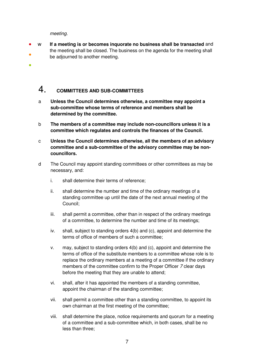meeting.

●

● ● w **If a meeting is or becomes inquorate no business shall be transacted** and the meeting shall be closed. The business on the agenda for the meeting shall be adjourned to another meeting.

#### 4. **COMMITTEES AND SUB-COMMITTEES**

- a **Unless the Council determines otherwise, a committee may appoint a sub-committee whose terms of reference and members shall be determined by the committee.**
- b **The members of a committee may include non-councillors unless it is a committee which regulates and controls the finances of the Council.**
- c **Unless the Council determines otherwise, all the members of an advisory committee and a sub-committee of the advisory committee may be noncouncillors.**
- d The Council may appoint standing committees or other committees as may be necessary, and:
	- i. shall determine their terms of reference;
	- ii. shall determine the number and time of the ordinary meetings of a standing committee up until the date of the next annual meeting of the Council;
	- iii. shall permit a committee, other than in respect of the ordinary meetings of a committee, to determine the number and time of its meetings;
	- iv. shall, subject to standing orders 4(b) and (c), appoint and determine the terms of office of members of such a committee;
	- v. may, subject to standing orders 4(b) and (c), appoint and determine the terms of office of the substitute members to a committee whose role is to replace the ordinary members at a meeting of a committee if the ordinary members of the committee confirm to the Proper Officer 7 clear days before the meeting that they are unable to attend;
	- vi. shall, after it has appointed the members of a standing committee, appoint the chairman of the standing committee;
	- vii. shall permit a committee other than a standing committee, to appoint its own chairman at the first meeting of the committee;
	- viii. shall determine the place, notice requirements and quorum for a meeting of a committee and a sub-committee which, in both cases, shall be no less than three;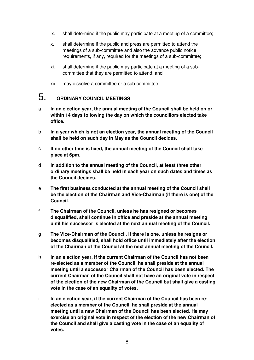- ix. shall determine if the public may participate at a meeting of a committee;
- x. shall determine if the public and press are permitted to attend the meetings of a sub-committee and also the advance public notice requirements, if any, required for the meetings of a sub-committee;
- xi. shall determine if the public may participate at a meeting of a subcommittee that they are permitted to attend; and
- xii. may dissolve a committee or a sub-committee.

#### 5. **ORDINARY COUNCIL MEETINGS**

- a **In an election year, the annual meeting of the Council shall be held on or within 14 days following the day on which the councillors elected take office.**
- b **In a year which is not an election year, the annual meeting of the Council shall be held on such day in May as the Council decides.**
- c **If no other time is fixed, the annual meeting of the Council shall take place at 6pm.**
- d **In addition to the annual meeting of the Council, at least three other ordinary meetings shall be held in each year on such dates and times as the Council decides.**
- e **The first business conducted at the annual meeting of the Council shall be the election of the Chairman and Vice-Chairman (if there is one) of the Council.**
- f **The Chairman of the Council, unless he has resigned or becomes disqualified, shall continue in office and preside at the annual meeting until his successor is elected at the next annual meeting of the Council.**
- g **The Vice-Chairman of the Council, if there is one, unless he resigns or becomes disqualified, shall hold office until immediately after the election of the Chairman of the Council at the next annual meeting of the Council.**
- h **In an election year, if the current Chairman of the Council has not been re-elected as a member of the Council, he shall preside at the annual meeting until a successor Chairman of the Council has been elected. The current Chairman of the Council shall not have an original vote in respect of the election of the new Chairman of the Council but shall give a casting vote in the case of an equality of votes.**
- i **In an election year, if the current Chairman of the Council has been reelected as a member of the Council, he shall preside at the annual meeting until a new Chairman of the Council has been elected. He may exercise an original vote in respect of the election of the new Chairman of the Council and shall give a casting vote in the case of an equality of votes.**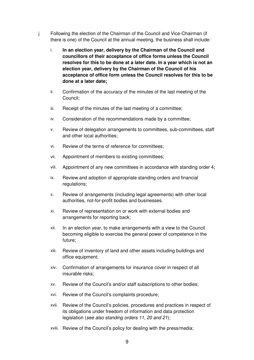- j Following the election of the Chairman of the Council and Vice-Chairman (if there is one) of the Council at the annual meeting, the business shall include:
	- i. **In an election year, delivery by the Chairman of the Council and councillors of their acceptance of office forms unless the Council resolves for this to be done at a later date. In a year which is not an election year, delivery by the Chairman of the Council of his acceptance of office form unless the Council resolves for this to be done at a later date;**
	- ii. Confirmation of the accuracy of the minutes of the last meeting of the Council;
	- iii. Receipt of the minutes of the last meeting of a committee;
	- iv. Consideration of the recommendations made by a committee;
	- v. Review of delegation arrangements to committees, sub-committees, staff and other local authorities;
	- vi. Review of the terms of reference for committees;
	- vii. Appointment of members to existing committees;
	- viii. Appointment of any new committees in accordance with standing order 4;
	- ix. Review and adoption of appropriate standing orders and financial regulations;
	- x. Review of arrangements (including legal agreements) with other local authorities, not-for-profit bodies and businesses.
	- xi. Review of representation on or work with external bodies and arrangements for reporting back;
	- xii. In an election year, to make arrangements with a view to the Council becoming eligible to exercise the general power of competence in the future;
	- xiii. Review of inventory of land and other assets including buildings and office equipment;
	- xiv. Confirmation of arrangements for insurance cover in respect of all insurable risks;
	- xv. Review of the Council's and/or staff subscriptions to other bodies;
	- xvi. Review of the Council's complaints procedure;
	- xvii. Review of the Council's policies, procedures and practices in respect of its obligations under freedom of information and data protection legislation (see also standing orders 11, 20 and 21);
	- xviii. Review of the Council's policy for dealing with the press/media;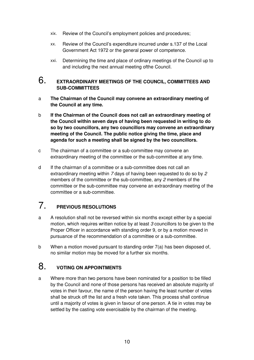- xix. Review of the Council's employment policies and procedures;
- xx. Review of the Council's expenditure incurred under s.137 of the Local Government Act 1972 or the general power of competence.
- xxi. Determining the time and place of ordinary meetings of the Council up to and including the next annual meeting ofthe Council.

#### 6. **EXTRAORDINARY MEETINGS OF THE COUNCIL, COMMITTEES AND SUB-COMMITTEES**

- a **The Chairman of the Council may convene an extraordinary meeting of the Council at any time.**
- b **If the Chairman of the Council does not call an extraordinary meeting of the Council within seven days of having been requested in writing to do so by two councillors, any two councillors may convene an extraordinary meeting of the Council. The public notice giving the time, place and agenda for such a meeting shall be signed by the two councillors.**
- c The chairman of a committee or a sub-committee may convene an extraordinary meeting of the committee or the sub-committee at any time.
- d If the chairman of a committee or a sub-committee does not call an extraordinary meeting within 7 days of having been requested to do so by 2 members of the committee or the sub-committee, any 2 members of the committee or the sub-committee may convene an extraordinary meeting of the committee or a sub-committee.

#### 7. **PREVIOUS RESOLUTIONS**

- a A resolution shall not be reversed within six months except either by a special motion, which requires written notice by at least 3 councillors to be given to the Proper Officer in accordance with standing order 9, or by a motion moved in pursuance of the recommendation of a committee or a sub-committee.
- b When a motion moved pursuant to standing order 7(a) has been disposed of, no similar motion may be moved for a further six months.

#### 8. **VOTING ON APPOINTMENTS**

a Where more than two persons have been nominated for a position to be filled by the Council and none of those persons has received an absolute majority of votes in their favour, the name of the person having the least number of votes shall be struck off the list and a fresh vote taken. This process shall continue until a majority of votes is given in favour of one person. A tie in votes may be settled by the casting vote exercisable by the chairman of the meeting.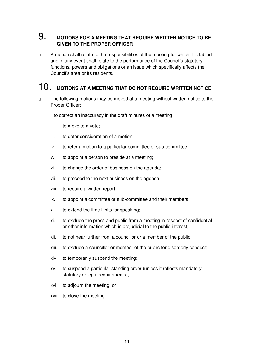#### 9. **MOTIONS FOR A MEETING THAT REQUIRE WRITTEN NOTICE TO BE GIVEN TO THE PROPER OFFICER**

a A motion shall relate to the responsibilities of the meeting for which it is tabled and in any event shall relate to the performance of the Council's statutory functions, powers and obligations or an issue which specifically affects the Council's area or its residents.

#### 10. **MOTIONS AT A MEETING THAT DO NOT REQUIRE WRITTEN NOTICE**

a The following motions may be moved at a meeting without written notice to the Proper Officer:

i. to correct an inaccuracy in the draft minutes of a meeting;

- ii. to move to a vote;
- iii. to defer consideration of a motion;
- iv. to refer a motion to a particular committee or sub-committee;
- v. to appoint a person to preside at a meeting;
- vi. to change the order of business on the agenda;
- vii. to proceed to the next business on the agenda;
- viii. to require a written report;
- ix. to appoint a committee or sub-committee and their members;
- x. to extend the time limits for speaking;
- xi. to exclude the press and public from a meeting in respect of confidential or other information which is prejudicial to the public interest;
- xii. to not hear further from a councillor or a member of the public;
- xiii. to exclude a councillor or member of the public for disorderly conduct;
- xiv. to temporarily suspend the meeting;
- xv. to suspend a particular standing order (unless it reflects mandatory statutory or legal requirements);
- xvi. to adjourn the meeting; or
- xvii. to close the meeting.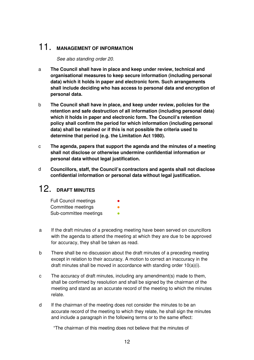## 11. **MANAGEMENT OF INFORMATION**

See also standing order 20.

- a **The Council shall have in place and keep under review, technical and organisational measures to keep secure information (including personal data) which it holds in paper and electronic form. Such arrangements shall include deciding who has access to personal data and encryption of personal data.**
- b **The Council shall have in place, and keep under review, policies for the retention and safe destruction of all information (including personal data) which it holds in paper and electronic form. The Council's retention policy shall confirm the period for which information (including personal data) shall be retained or if this is not possible the criteria used to determine that period (e.g. the Limitation Act 1980).**
- c **The agenda, papers that support the agenda and the minutes of a meeting shall not disclose or otherwise undermine confidential information or personal data without legal justification.**
- d **Councillors, staff, the Council's contractors and agents shall not disclose confidential information or personal data without legal justification.**

## 12. **DRAFT MINUTES**

| <b>Full Council meetings</b> |  |
|------------------------------|--|
| Committee meetings           |  |
| Sub-committee meetings       |  |

- a If the draft minutes of a preceding meeting have been served on councillors with the agenda to attend the meeting at which they are due to be approved for accuracy, they shall be taken as read.
- b There shall be no discussion about the draft minutes of a preceding meeting except in relation to their accuracy. A motion to correct an inaccuracy in the draft minutes shall be moved in accordance with standing order 10(a)(i).
- c The accuracy of draft minutes, including any amendment(s) made to them, shall be confirmed by resolution and shall be signed by the chairman of the meeting and stand as an accurate record of the meeting to which the minutes relate.
- d If the chairman of the meeting does not consider the minutes to be an accurate record of the meeting to which they relate, he shall sign the minutes and include a paragraph in the following terms or to the same effect:

"The chairman of this meeting does not believe that the minutes of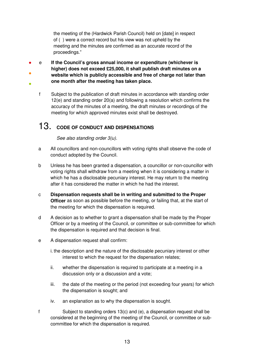the meeting of the (Hardwick Parish Council) held on [date] in respect of ( ) were a correct record but his view was not upheld by the meeting and the minutes are confirmed as an accurate record of the proceedings."

- ● ● e **If the Council's gross annual income or expenditure (whichever is higher) does not exceed £25,000, it shall publish draft minutes on a website which is publicly accessible and free of charge not later than one month after the meeting has taken place.**
	- f Subject to the publication of draft minutes in accordance with standing order 12(e) and standing order 20(a) and following a resolution which confirms the accuracy of the minutes of a meeting, the draft minutes or recordings of the meeting for which approved minutes exist shall be destroyed.

## 13. **CODE OF CONDUCT AND DISPENSATIONS**

See also standing order 3(u).

- a All councillors and non-councillors with voting rights shall observe the code of conduct adopted by the Council.
- b Unless he has been granted a dispensation, a councillor or non-councillor with voting rights shall withdraw from a meeting when it is considering a matter in which he has a disclosable pecuniary interest. He may return to the meeting after it has considered the matter in which he had the interest.
- c **Dispensation requests shall be in writing and submitted to the Proper Officer** as soon as possible before the meeting, or failing that, at the start of the meeting for which the dispensation is required.
- d A decision as to whether to grant a dispensation shall be made by the Proper Officer or by a meeting of the Council, or committee or sub-committee for which the dispensation is required and that decision is final.
- e A dispensation request shall confirm:
	- i. the description and the nature of the disclosable pecuniary interest or other interest to which the request for the dispensation relates;
	- ii. whether the dispensation is required to participate at a meeting in a discussion only or a discussion and a vote;
	- iii. the date of the meeting or the period (not exceeding four years) for which the dispensation is sought; and
	- iv. an explanation as to why the dispensation is sought.
- f Subject to standing orders 13(c) and (e), a dispensation request shall be considered at the beginning of the meeting of the Council, or committee or subcommittee for which the dispensation is required.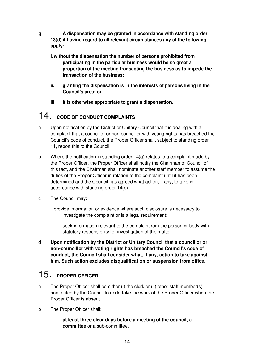**g A dispensation may be granted in accordance with standing order 13(d) if having regard to all relevant circumstances any of the following apply:** 

- **i. without the dispensation the number of persons prohibited from participating in the particular business would be so great a proportion of the meeting transacting the business as to impede the transaction of the business;**
- **ii. granting the dispensation is in the interests of persons living in the Council's area; or**
- **iii. it is otherwise appropriate to grant a dispensation.**

## 14. **CODE OF CONDUCT COMPLAINTS**

- a Upon notification by the District or Unitary Council that it is dealing with a complaint that a councillor or non-councillor with voting rights has breached the Council's code of conduct, the Proper Officer shall, subject to standing order 11, report this to the Council.
- b Where the notification in standing order 14(a) relates to a complaint made by the Proper Officer, the Proper Officer shall notify the Chairman of Council of this fact, and the Chairman shall nominate another staff member to assume the duties of the Proper Officer in relation to the complaint until it has been determined and the Council has agreed what action, if any, to take in accordance with standing order 14(d).
- c The Council may:
	- i. provide information or evidence where such disclosure is necessary to investigate the complaint or is a legal requirement;
	- ii. seek information relevant to the complaintfrom the person or body with statutory responsibility for investigation of the matter;
- d **Upon notification by the District or Unitary Council that a councillor or non-councillor with voting rights has breached the Council's code of conduct, the Council shall consider what, if any, action to take against him. Such action excludes disqualification or suspension from office.**

## 15. **PROPER OFFICER**

- a The Proper Officer shall be either (i) the clerk or (ii) other staff member(s) nominated by the Council to undertake the work of the Proper Officer when the Proper Officer is absent.
- b The Proper Officer shall:
	- i. **at least three clear days before a meeting of the council, a committee** or a sub-committee**,**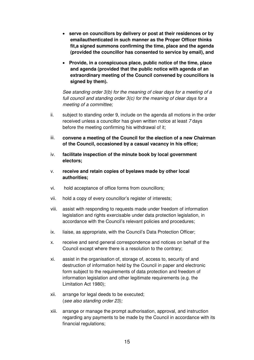- **serve on councillors by delivery or post at their residences or by emailauthenticated in such manner as the Proper Officer thinks fit,a signed summons confirming the time, place and the agenda (provided the councillor has consented to service by email), and**
- **Provide, in a conspicuous place, public notice of the time, place and agenda (provided that the public notice with agenda of an extraordinary meeting of the Council convened by councillors is signed by them).**

See standing order 3(b) for the meaning of clear days for a meeting of a full council and standing order 3(c) for the meaning of clear days for a meeting of a committee;

- ii. subject to standing order 9, include on the agenda all motions in the order received unless a councillor has given written notice at least 7 days before the meeting confirming his withdrawal of it;
- iii. **convene a meeting of the Council for the election of a new Chairman of the Council, occasioned by a casual vacancy in his office;**
- iv. **facilitate inspection of the minute book by local government electors;**
- v. **receive and retain copies of byelaws made by other local authorities;**
- vi. hold acceptance of office forms from councillors;
- vii. hold a copy of every councillor's register of interests;
- viii. assist with responding to requests made under freedom of information legislation and rights exercisable under data protection legislation, in accordance with the Council's relevant policies and procedures;
- ix. liaise, as appropriate, with the Council's Data Protection Officer;
- x. receive and send general correspondence and notices on behalf of the Council except where there is a resolution to the contrary;
- xi. assist in the organisation of, storage of, access to, security of and destruction of information held by the Council in paper and electronic form subject to the requirements of data protection and freedom of information legislation and other legitimate requirements (e.g. the Limitation Act 1980);
- xii. arrange for legal deeds to be executed; (see also standing order 23);
- xiii. arrange or manage the prompt authorisation, approval, and instruction regarding any payments to be made by the Council in accordance with its financial regulations;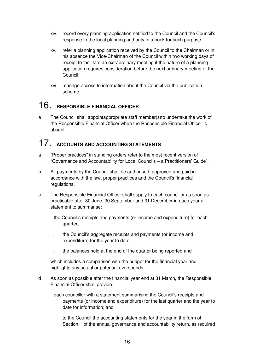- xiv. record every planning application notified to the Council and the Council's response to the local planning authority in a book for such purpose;
- xv. refer a planning application received by the Council to the Chairman or in his absence the Vice-Chairman of the Council within two working days of receipt to facilitate an extraordinary meeting if the nature of a planning application requires consideration before the next ordinary meeting of the Council;
- xvi. manage access to information about the Council via the publication scheme.

## 16. **RESPONSIBLE FINANCIAL OFFICER**

a The Council shall appointappropriate staff member(s)to undertake the work of the Responsible Financial Officer when the Responsible Financial Officer is absent.

## 17. **ACCOUNTS AND ACCOUNTING STATEMENTS**

- a "Proper practices" in standing orders refer to the most recent version of "Governance and Accountability for Local Councils – a Practitioners' Guide".
- b All payments by the Council shall be authorised, approved and paid in accordance with the law, proper practices and the Council's financial regulations.
- c The Responsible Financial Officer shall supply to each councillor as soon as practicable after 30 June, 30 September and 31 December in each year a statement to summarise:
	- i. the Council's receipts and payments (or income and expenditure) for each quarter;
	- ii. the Council's aggregate receipts and payments (or income and expenditure) for the year to date;
	- iii. the balances held at the end of the quarter being reported and

which includes a comparison with the budget for the financial year and highlights any actual or potential overspends.

- d As soon as possible after the financial year end at 31 March, the Responsible Financial Officer shall provide:
	- i. each councillor with a statement summarising the Council's receipts and payments (or income and expenditure) for the last quarter and the year to date for information; and
	- ii. to the Council the accounting statements for the year in the form of Section 1 of the annual governance and accountability return, as required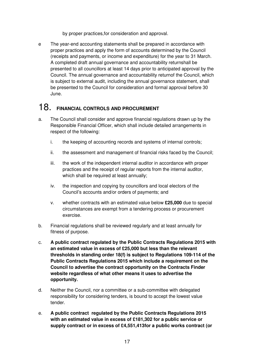by proper practices,for consideration and approval.

e The year-end accounting statements shall be prepared in accordance with proper practices and apply the form of accounts determined by the Council (receipts and payments, or income and expenditure) for the year to 31 March. A completed draft annual governance and accountability returnshall be presented to all councillors at least 14 days prior to anticipated approval by the Council. The annual governance and accountability returnof the Council, which is subject to external audit, including the annual governance statement, shall be presented to the Council for consideration and formal approval before 30 June.

#### 18. **FINANCIAL CONTROLS AND PROCUREMENT**

- a. The Council shall consider and approve financial regulations drawn up by the Responsible Financial Officer, which shall include detailed arrangements in respect of the following:
	- i. the keeping of accounting records and systems of internal controls;
	- ii. the assessment and management of financial risks faced by the Council;
	- iii. the work of the independent internal auditor in accordance with proper practices and the receipt of regular reports from the internal auditor, which shall be required at least annually;
	- iv. the inspection and copying by councillors and local electors of the Council's accounts and/or orders of payments; and
	- v. whether contracts with an estimated value below **£25,000** due to special circumstances are exempt from a tendering process or procurement exercise.
- b. Financial regulations shall be reviewed regularly and at least annually for fitness of purpose.
- c. **A public contract regulated by the Public Contracts Regulations 2015 with an estimated value in excess of £25,000 but less than the relevant thresholds in standing order 18(f) is subject to Regulations 109-114 of the Public Contracts Regulations 2015 which include a requirement on the Council to advertise the contract opportunity on the Contracts Finder website regardless of what other means it uses to advertise the opportunity.**
- d. Neither the Council, nor a committee or a sub-committee with delegated responsibility for considering tenders, is bound to accept the lowest value tender.
- e. **A public contract regulated by the Public Contracts Regulations 2015 with an estimated value in excess of £181,302 for a public service or supply contract or in excess of £4,551,413for a public works contract (or**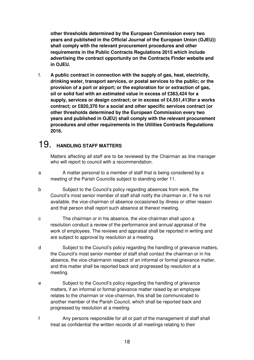**other thresholds determined by the European Commission every two years and published in the Official Journal of the European Union (OJEU)) shall comply with the relevant procurement procedures and other requirements in the Public Contracts Regulations 2015 which include advertising the contract opportunity on the Contracts Finder website and in OJEU.** 

f. **A public contract in connection with the supply of gas, heat, electricity, drinking water, transport services, or postal services to the public; or the provision of a port or airport; or the exploration for or extraction of gas, oil or solid fuel with an estimated value in excess of £363,424 for a supply, services or design contract; or in excess of £4,551,413for a works contract; or £820,370 for a social and other specific services contract (or other thresholds determined by the European Commission every two years and published in OJEU) shall comply with the relevant procurement procedures and other requirements in the Utilities Contracts Regulations 2016.** 

#### 19. **HANDLING STAFF MATTERS**

Matters affecting all staff are to be reviewed by the Chairman as line manager who will report to council with a recommendation.

- a A matter personal to a member of staff that is being considered by a meeting of the Parish Councilis subject to standing order 11.
- b Subject to the Council's policy regarding absences from work, the Council's most senior member of staff shall notify the chairman or, if he is not available, the vice-chairman of absence occasioned by illness or other reason and that person shall report such absence at thenext meeting.
- c The chairman or in his absence, the vice-chairman shall upon a resolution conduct a review of the performance and annual appraisal of the work of employees. The reviews and appraisal shall be reported in writing and are subject to approval by resolution at a meeting.
- d Subject to the Council's policy regarding the handling of grievance matters, the Council's most senior member of staff shall contact the chairman or in his absence, the vice-chairmanin respect of an informal or formal grievance matter, and this matter shall be reported back and progressed by resolution at a meeting.
- e Subject to the Council's policy regarding the handling of grievance matters, if an informal or formal grievance matter raised by an employee relates to the chairman or vice-chairman, this shall be communicated to another member of the Parish Council, which shall be reported back and progressed by resolution at a meeting.
- f Any persons responsible for all or part of the management of staff shall treat as confidential the written records of all meetings relating to their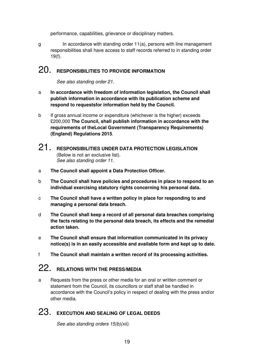performance, capabilities, grievance or disciplinary matters.

 $g$  In accordance with standing order 11(a), persons with line management responsibilities shall have access to staff records referred to in standing order 19(f).

#### 20. **RESPONSIBILITIES TO PROVIDE INFORMATION**

See also standing order 21.

- a **In accordance with freedom of information legislation, the Council shall publish information in accordance with its publication scheme and respond to requestsfor information held by the Council.**
- b If gross annual income or expenditure (whichever is the higher) exceeds £200,000 **The Council, shall publish information in accordance with the requirements of theLocal Government (Transparency Requirements) (England) Regulations 2015**.
- 21. **RESPONSIBILITIES UNDER DATA PROTECTION LEGISLATION**  (Below is not an exclusive list). See also standing order 11.
- a **The Council shall appoint a Data Protection Officer.**
- b **The Council shall have policies and procedures in place to respond to an individual exercising statutory rights concerning his personal data.**
- c **The Council shall have a written policy in place for responding to and managing a personal data breach.**
- d **The Council shall keep a record of all personal data breaches comprising the facts relating to the personal data breach, its effects and the remedial action taken.**
- e **The Council shall ensure that information communicated in its privacy notice(s) is in an easily accessible and available form and kept up to date.**
- f **The Council shall maintain a written record of its processing activities.**

## 22. **RELATIONS WITH THE PRESS/MEDIA**

a Requests from the press or other media for an oral or written comment or statement from the Council, its councillors or staff shall be handled in accordance with the Council's policy in respect of dealing with the press and/or other media.

## 23. **EXECUTION AND SEALING OF LEGAL DEEDS**

See also standing orders 15(b)(xii).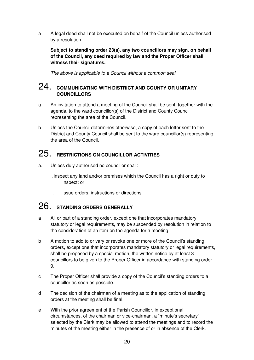a A legal deed shall not be executed on behalf of the Council unless authorised by a resolution.

**Subject to standing order 23(a), any two councillors may sign, on behalf of the Council, any deed required by law and the Proper Officer shall witness their signatures.** 

The above is applicable to a Council without a common seal.

#### 24. **COMMUNICATING WITH DISTRICT AND COUNTY OR UNITARY COUNCILLORS**

- a An invitation to attend a meeting of the Council shall be sent, together with the agenda, to the ward councillor(s) of the District and County Council representing the area of the Council.
- b Unless the Council determines otherwise, a copy of each letter sent to the District and County Council shall be sent to the ward councillor(s) representing the area of the Council.

## 25. **RESTRICTIONS ON COUNCILLOR ACTIVITIES**

- a. Unless duly authorised no councillor shall:
	- i. inspect any land and/or premises which the Council has a right or duty to inspect; or
	- ii. issue orders, instructions or directions.

## 26. **STANDING ORDERS GENERALLY**

- a All or part of a standing order, except one that incorporates mandatory statutory or legal requirements, may be suspended by resolution in relation to the consideration of an item on the agenda for a meeting.
- b A motion to add to or vary or revoke one or more of the Council's standing orders, except one that incorporates mandatory statutory or legal requirements, shall be proposed by a special motion, the written notice by at least 3 councillors to be given to the Proper Officer in accordance with standing order 9.
- c The Proper Officer shall provide a copy of the Council's standing orders to a councillor as soon as possible.
- d The decision of the chairman of a meeting as to the application of standing orders at the meeting shall be final.
- e With the prior agreement of the Parish Councillor, in exceptional circumstances, of the chairman or vice-chairman, a "minute's secretary" selected by the Clerk may be allowed to attend the meetings and to record the minutes of the meeting either in the presence of or in absence of the Clerk.